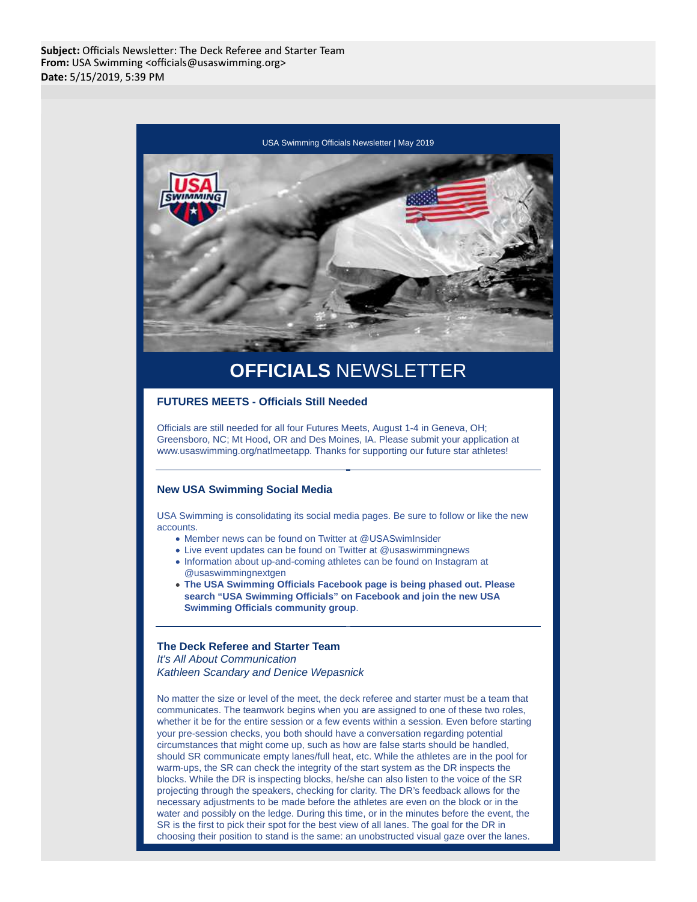

# **OFFICIALS** NEWSLETTER

# **FUTURES MEETS - Officials Still Needed**

Officials are still needed for all four Futures Meets, August 1-4 in Geneva, OH; Greensboro, NC; Mt Hood, OR and Des Moines, IA. Please submit your application at www.usaswimming.org/natlmeetapp. Thanks for supporting our future star athletes!

## **New USA Swimming Social Media**

USA Swimming is consolidating its social media pages. Be sure to follow or like the new accounts.

- Member news can be found on Twitter at @USASwimInsider
- Live event updates can be found on Twitter at @usaswimmingnews
- Information about up-and-coming athletes can be found on Instagram at @usaswimmingnextgen
- **The USA Swimming Officials Facebook page is being phased out. Please search "USA Swimming Officials" on Facebook and join the new USA Swimming Officials community group**.

#### **The Deck Referee and Starter Team** It's All About Communication

Kathleen Scandary and Denice Wepasnick

No matter the size or level of the meet, the deck referee and starter must be a team that communicates. The teamwork begins when you are assigned to one of these two roles, whether it be for the entire session or a few events within a session. Even before starting your pre-session checks, you both should have a conversation regarding potential circumstances that might come up, such as how are false starts should be handled, should SR communicate empty lanes/full heat, etc. While the athletes are in the pool for warm-ups, the SR can check the integrity of the start system as the DR inspects the blocks. While the DR is inspecting blocks, he/she can also listen to the voice of the SR projecting through the speakers, checking for clarity. The DR's feedback allows for the necessary adjustments to be made before the athletes are even on the block or in the water and possibly on the ledge. During this time, or in the minutes before the event, the SR is the first to pick their spot for the best view of all lanes. The goal for the DR in choosing their position to stand is the same: an unobstructed visual gaze over the lanes.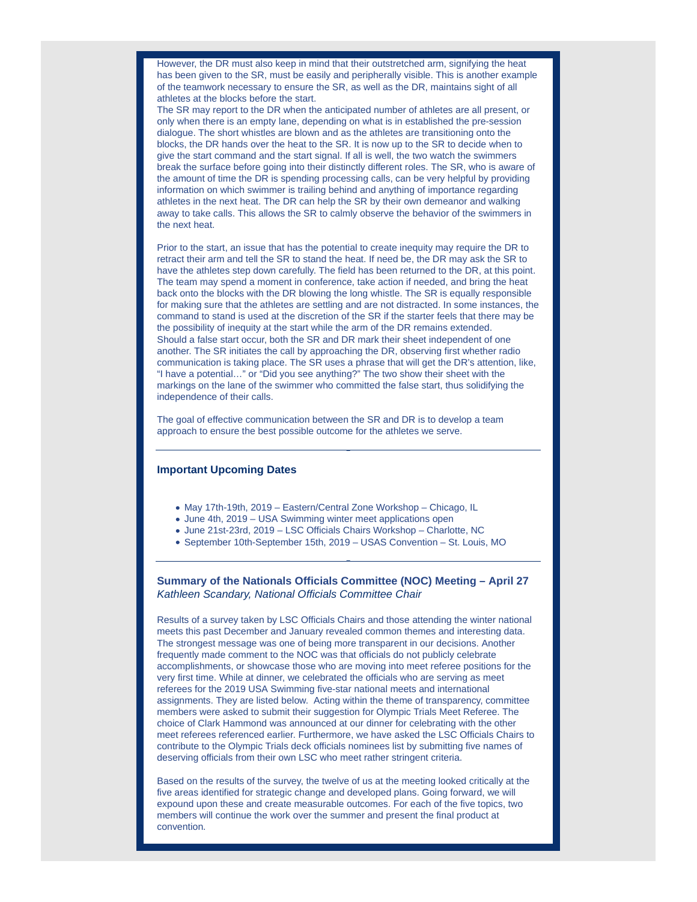However, the DR must also keep in mind that their outstretched arm, signifying the heat has been given to the SR, must be easily and peripherally visible. This is another example of the teamwork necessary to ensure the SR, as well as the DR, maintains sight of all athletes at the blocks before the start.

The SR may report to the DR when the anticipated number of athletes are all present, or only when there is an empty lane, depending on what is in established the pre-session dialogue. The short whistles are blown and as the athletes are transitioning onto the blocks, the DR hands over the heat to the SR. It is now up to the SR to decide when to give the start command and the start signal. If all is well, the two watch the swimmers break the surface before going into their distinctly different roles. The SR, who is aware of the amount of time the DR is spending processing calls, can be very helpful by providing information on which swimmer is trailing behind and anything of importance regarding athletes in the next heat. The DR can help the SR by their own demeanor and walking away to take calls. This allows the SR to calmly observe the behavior of the swimmers in the next heat.

Prior to the start, an issue that has the potential to create inequity may require the DR to retract their arm and tell the SR to stand the heat. If need be, the DR may ask the SR to have the athletes step down carefully. The field has been returned to the DR, at this point. The team may spend a moment in conference, take action if needed, and bring the heat back onto the blocks with the DR blowing the long whistle. The SR is equally responsible for making sure that the athletes are settling and are not distracted. In some instances, the command to stand is used at the discretion of the SR if the starter feels that there may be the possibility of inequity at the start while the arm of the DR remains extended. Should a false start occur, both the SR and DR mark their sheet independent of one another. The SR initiates the call by approaching the DR, observing first whether radio communication is taking place. The SR uses a phrase that will get the DR's attention, like, "I have a potential…" or "Did you see anything?" The two show their sheet with the markings on the lane of the swimmer who committed the false start, thus solidifying the independence of their calls.

The goal of effective communication between the SR and DR is to develop a team approach to ensure the best possible outcome for the athletes we serve.

## **Important Upcoming Dates**

- May 17th-19th, 2019 Eastern/Central Zone Workshop Chicago, IL
- June 4th, 2019 USA Swimming winter meet applications open
- June 21st-23rd, 2019 LSC Officials Chairs Workshop Charlotte, NC
- September 10th-September 15th, 2019 USAS Convention St. Louis, MO

# **Summary of the Nationals Officials Committee (NOC) Meeting – April 27** Kathleen Scandary, National Officials Committee Chair

Results of a survey taken by LSC Officials Chairs and those attending the winter national meets this past December and January revealed common themes and interesting data. The strongest message was one of being more transparent in our decisions. Another frequently made comment to the NOC was that officials do not publicly celebrate accomplishments, or showcase those who are moving into meet referee positions for the very first time. While at dinner, we celebrated the officials who are serving as meet referees for the 2019 USA Swimming five-star national meets and international assignments. They are listed below. Acting within the theme of transparency, committee members were asked to submit their suggestion for Olympic Trials Meet Referee. The choice of Clark Hammond was announced at our dinner for celebrating with the other meet referees referenced earlier. Furthermore, we have asked the LSC Officials Chairs to contribute to the Olympic Trials deck officials nominees list by submitting five names of deserving officials from their own LSC who meet rather stringent criteria.

Based on the results of the survey, the twelve of us at the meeting looked critically at the five areas identified for strategic change and developed plans. Going forward, we will expound upon these and create measurable outcomes. For each of the five topics, two members will continue the work over the summer and present the final product at convention.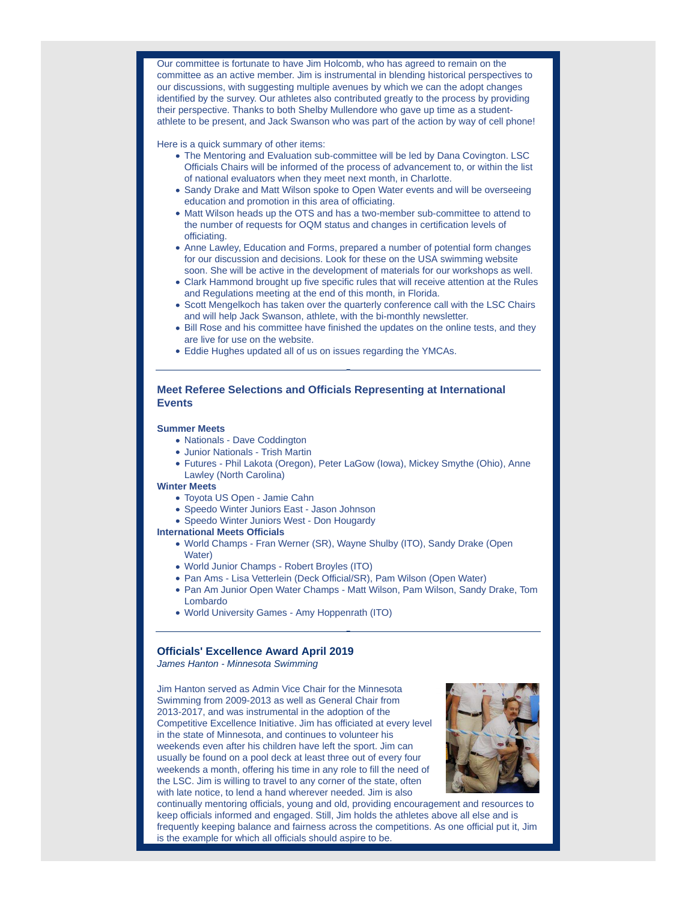Our committee is fortunate to have Jim Holcomb, who has agreed to remain on the committee as an active member. Jim is instrumental in blending historical perspectives to our discussions, with suggesting multiple avenues by which we can the adopt changes identified by the survey. Our athletes also contributed greatly to the process by providing their perspective. Thanks to both Shelby Mullendore who gave up time as a studentathlete to be present, and Jack Swanson who was part of the action by way of cell phone!

Here is a quick summary of other items:

- The Mentoring and Evaluation sub-committee will be led by Dana Covington. LSC Officials Chairs will be informed of the process of advancement to, or within the list of national evaluators when they meet next month, in Charlotte.
- Sandy Drake and Matt Wilson spoke to Open Water events and will be overseeing education and promotion in this area of officiating.
- Matt Wilson heads up the OTS and has a two-member sub-committee to attend to the number of requests for OQM status and changes in certification levels of officiating.
- Anne Lawley, Education and Forms, prepared a number of potential form changes for our discussion and decisions. Look for these on the USA swimming website soon. She will be active in the development of materials for our workshops as well.
- Clark Hammond brought up five specific rules that will receive attention at the Rules and Regulations meeting at the end of this month, in Florida.
- Scott Mengelkoch has taken over the quarterly conference call with the LSC Chairs and will help Jack Swanson, athlete, with the bi-monthly newsletter.
- Bill Rose and his committee have finished the updates on the online tests, and they are live for use on the website.
- Eddie Hughes updated all of us on issues regarding the YMCAs.

# **Meet Referee Selections and Officials Representing at International Events**

#### **Summer Meets**

- Nationals Dave Coddington
- Junior Nationals Trish Martin
- Futures Phil Lakota (Oregon), Peter LaGow (Iowa), Mickey Smythe (Ohio), Anne Lawley (North Carolina)

#### **Winter Meets**

- Toyota US Open Jamie Cahn
- Speedo Winter Juniors East Jason Johnson
- Speedo Winter Juniors West Don Hougardy

#### **International Meets Officials**

- World Champs Fran Werner (SR), Wayne Shulby (ITO), Sandy Drake (Open Water)
- World Junior Champs Robert Broyles (ITO)
- Pan Ams Lisa Vetterlein (Deck Official/SR), Pam Wilson (Open Water)
- Pan Am Junior Open Water Champs Matt Wilson, Pam Wilson, Sandy Drake, Tom Lombardo
- World University Games Amy Hoppenrath (ITO)

#### **Officials' Excellence Award April 2019**

James Hanton - Minnesota Swimming

Jim Hanton served as Admin Vice Chair for the Minnesota Swimming from 2009-2013 as well as General Chair from 2013-2017, and was instrumental in the adoption of the Competitive Excellence Initiative. Jim has officiated at every level in the state of Minnesota, and continues to volunteer his weekends even after his children have left the sport. Jim can usually be found on a pool deck at least three out of every four weekends a month, offering his time in any role to fill the need of the LSC. Jim is willing to travel to any corner of the state, often with late notice, to lend a hand wherever needed. Jim is also



continually mentoring officials, young and old, providing encouragement and resources to keep officials informed and engaged. Still, Jim holds the athletes above all else and is frequently keeping balance and fairness across the competitions. As one official put it, Jim is the example for which all officials should aspire to be.